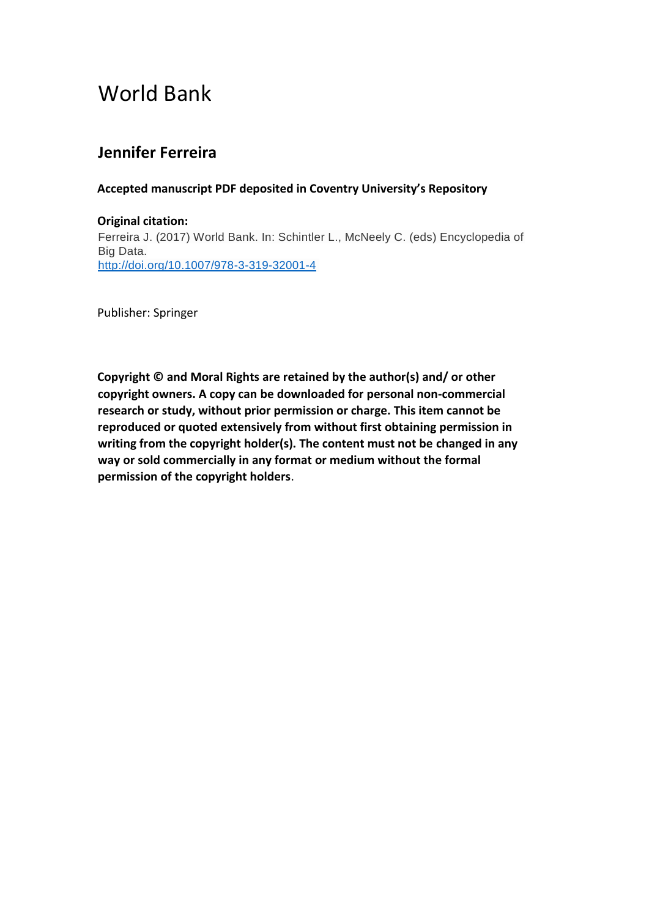# World Bank

## **Jennifer Ferreira**

### **Accepted manuscript PDF deposited in Coventry University's Repository**

#### **Original citation:**

Ferreira J. (2017) World Bank. In: Schintler L., McNeely C. (eds) Encyclopedia of Big Data. <http://doi.org/10.1007/978-3-319-32001-4>

Publisher: Springer

**Copyright © and Moral Rights are retained by the author(s) and/ or other copyright owners. A copy can be downloaded for personal non-commercial research or study, without prior permission or charge. This item cannot be reproduced or quoted extensively from without first obtaining permission in writing from the copyright holder(s). The content must not be changed in any way or sold commercially in any format or medium without the formal permission of the copyright holders**.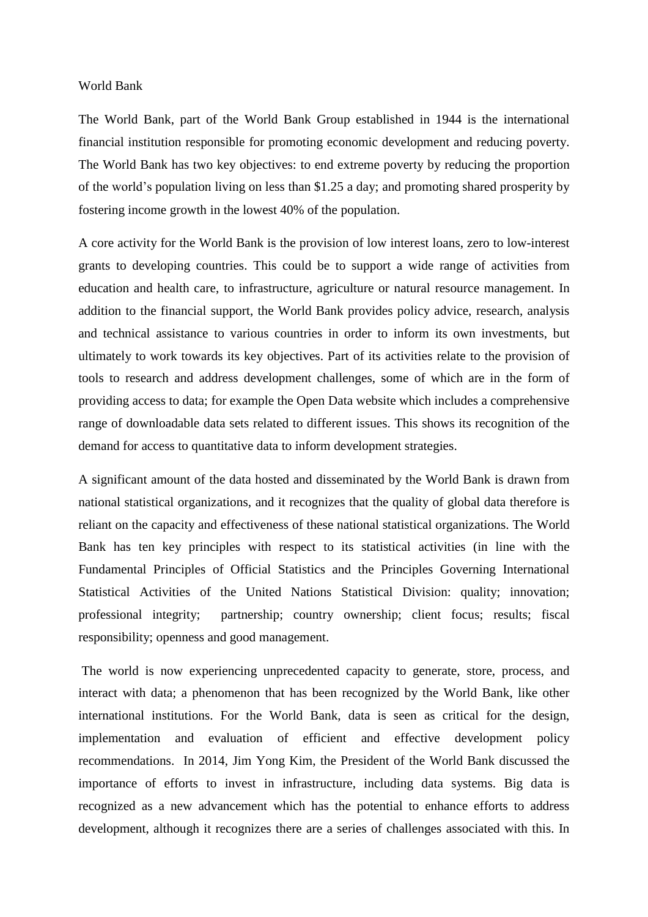#### World Bank

The World Bank, part of the World Bank Group established in 1944 is the international financial institution responsible for promoting economic development and reducing poverty. The World Bank has two key objectives: to end extreme poverty by reducing the proportion of the world's population living on less than \$1.25 a day; and promoting shared prosperity by fostering income growth in the lowest 40% of the population.

A core activity for the World Bank is the provision of low interest loans, zero to low-interest grants to developing countries. This could be to support a wide range of activities from education and health care, to infrastructure, agriculture or natural resource management. In addition to the financial support, the World Bank provides policy advice, research, analysis and technical assistance to various countries in order to inform its own investments, but ultimately to work towards its key objectives. Part of its activities relate to the provision of tools to research and address development challenges, some of which are in the form of providing access to data; for example the Open Data website which includes a comprehensive range of downloadable data sets related to different issues. This shows its recognition of the demand for access to quantitative data to inform development strategies.

A significant amount of the data hosted and disseminated by the World Bank is drawn from national statistical organizations, and it recognizes that the quality of global data therefore is reliant on the capacity and effectiveness of these national statistical organizations. The World Bank has ten key principles with respect to its statistical activities (in line with the Fundamental Principles of Official Statistics and the Principles Governing International Statistical Activities of the United Nations Statistical Division: quality; innovation; professional integrity; partnership; country ownership; client focus; results; fiscal responsibility; openness and good management.

The world is now experiencing unprecedented capacity to generate, store, process, and interact with data; a phenomenon that has been recognized by the World Bank, like other international institutions. For the World Bank, data is seen as critical for the design, implementation and evaluation of efficient and effective development policy recommendations. In 2014, Jim Yong Kim, the President of the World Bank discussed the importance of efforts to invest in infrastructure, including data systems. Big data is recognized as a new advancement which has the potential to enhance efforts to address development, although it recognizes there are a series of challenges associated with this. In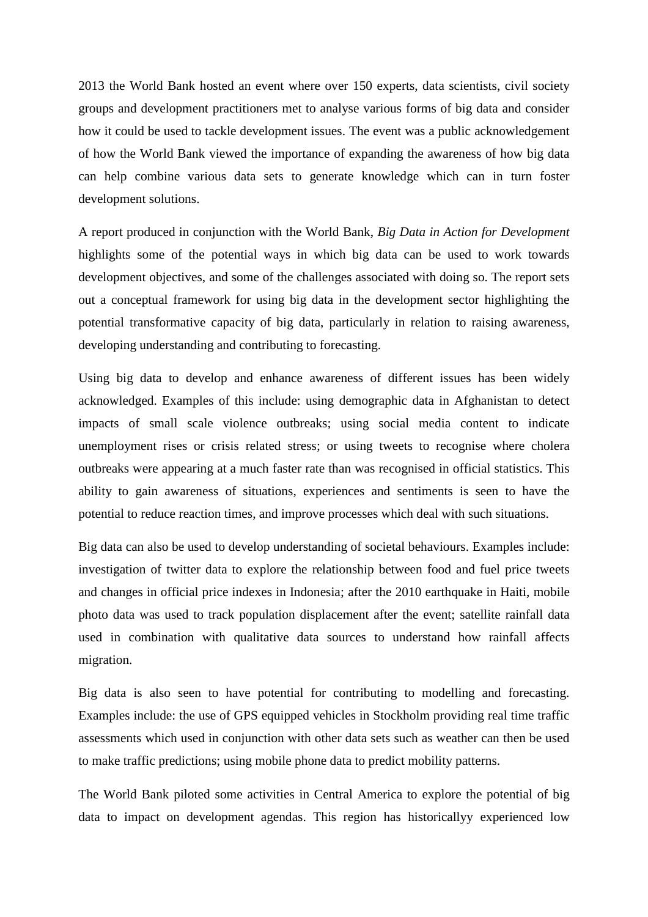2013 the World Bank hosted an event where over 150 experts, data scientists, civil society groups and development practitioners met to analyse various forms of big data and consider how it could be used to tackle development issues. The event was a public acknowledgement of how the World Bank viewed the importance of expanding the awareness of how big data can help combine various data sets to generate knowledge which can in turn foster development solutions.

A report produced in conjunction with the World Bank, *Big Data in Action for Development* highlights some of the potential ways in which big data can be used to work towards development objectives, and some of the challenges associated with doing so. The report sets out a conceptual framework for using big data in the development sector highlighting the potential transformative capacity of big data, particularly in relation to raising awareness, developing understanding and contributing to forecasting.

Using big data to develop and enhance awareness of different issues has been widely acknowledged. Examples of this include: using demographic data in Afghanistan to detect impacts of small scale violence outbreaks; using social media content to indicate unemployment rises or crisis related stress; or using tweets to recognise where cholera outbreaks were appearing at a much faster rate than was recognised in official statistics. This ability to gain awareness of situations, experiences and sentiments is seen to have the potential to reduce reaction times, and improve processes which deal with such situations.

Big data can also be used to develop understanding of societal behaviours. Examples include: investigation of twitter data to explore the relationship between food and fuel price tweets and changes in official price indexes in Indonesia; after the 2010 earthquake in Haiti, mobile photo data was used to track population displacement after the event; satellite rainfall data used in combination with qualitative data sources to understand how rainfall affects migration.

Big data is also seen to have potential for contributing to modelling and forecasting. Examples include: the use of GPS equipped vehicles in Stockholm providing real time traffic assessments which used in conjunction with other data sets such as weather can then be used to make traffic predictions; using mobile phone data to predict mobility patterns.

The World Bank piloted some activities in Central America to explore the potential of big data to impact on development agendas. This region has historicallyy experienced low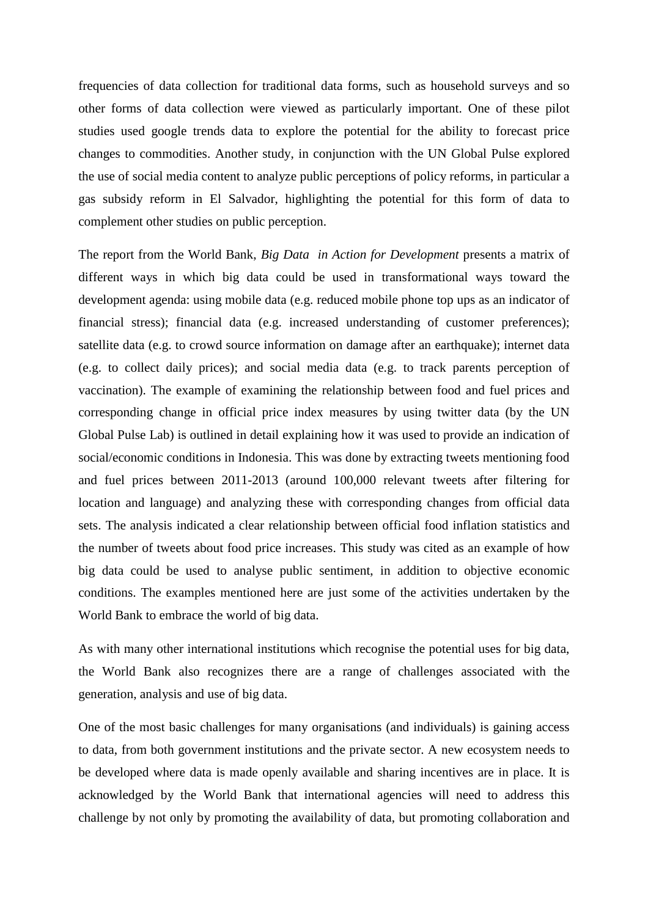frequencies of data collection for traditional data forms, such as household surveys and so other forms of data collection were viewed as particularly important. One of these pilot studies used google trends data to explore the potential for the ability to forecast price changes to commodities. Another study, in conjunction with the UN Global Pulse explored the use of social media content to analyze public perceptions of policy reforms, in particular a gas subsidy reform in El Salvador, highlighting the potential for this form of data to complement other studies on public perception.

The report from the World Bank, *Big Data in Action for Development* presents a matrix of different ways in which big data could be used in transformational ways toward the development agenda: using mobile data (e.g. reduced mobile phone top ups as an indicator of financial stress); financial data (e.g. increased understanding of customer preferences); satellite data (e.g. to crowd source information on damage after an earthquake); internet data (e.g. to collect daily prices); and social media data (e.g. to track parents perception of vaccination). The example of examining the relationship between food and fuel prices and corresponding change in official price index measures by using twitter data (by the UN Global Pulse Lab) is outlined in detail explaining how it was used to provide an indication of social/economic conditions in Indonesia. This was done by extracting tweets mentioning food and fuel prices between 2011-2013 (around 100,000 relevant tweets after filtering for location and language) and analyzing these with corresponding changes from official data sets. The analysis indicated a clear relationship between official food inflation statistics and the number of tweets about food price increases. This study was cited as an example of how big data could be used to analyse public sentiment, in addition to objective economic conditions. The examples mentioned here are just some of the activities undertaken by the World Bank to embrace the world of big data.

As with many other international institutions which recognise the potential uses for big data, the World Bank also recognizes there are a range of challenges associated with the generation, analysis and use of big data.

One of the most basic challenges for many organisations (and individuals) is gaining access to data, from both government institutions and the private sector. A new ecosystem needs to be developed where data is made openly available and sharing incentives are in place. It is acknowledged by the World Bank that international agencies will need to address this challenge by not only by promoting the availability of data, but promoting collaboration and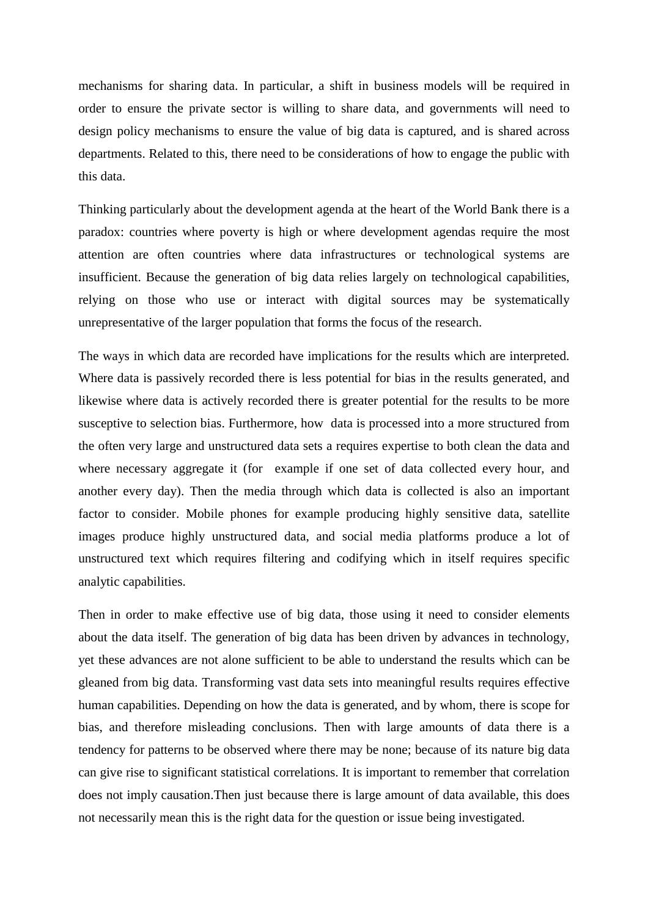mechanisms for sharing data. In particular, a shift in business models will be required in order to ensure the private sector is willing to share data, and governments will need to design policy mechanisms to ensure the value of big data is captured, and is shared across departments. Related to this, there need to be considerations of how to engage the public with this data.

Thinking particularly about the development agenda at the heart of the World Bank there is a paradox: countries where poverty is high or where development agendas require the most attention are often countries where data infrastructures or technological systems are insufficient. Because the generation of big data relies largely on technological capabilities, relying on those who use or interact with digital sources may be systematically unrepresentative of the larger population that forms the focus of the research.

The ways in which data are recorded have implications for the results which are interpreted. Where data is passively recorded there is less potential for bias in the results generated, and likewise where data is actively recorded there is greater potential for the results to be more susceptive to selection bias. Furthermore, how data is processed into a more structured from the often very large and unstructured data sets a requires expertise to both clean the data and where necessary aggregate it (for example if one set of data collected every hour, and another every day). Then the media through which data is collected is also an important factor to consider. Mobile phones for example producing highly sensitive data, satellite images produce highly unstructured data, and social media platforms produce a lot of unstructured text which requires filtering and codifying which in itself requires specific analytic capabilities.

Then in order to make effective use of big data, those using it need to consider elements about the data itself. The generation of big data has been driven by advances in technology, yet these advances are not alone sufficient to be able to understand the results which can be gleaned from big data. Transforming vast data sets into meaningful results requires effective human capabilities. Depending on how the data is generated, and by whom, there is scope for bias, and therefore misleading conclusions. Then with large amounts of data there is a tendency for patterns to be observed where there may be none; because of its nature big data can give rise to significant statistical correlations. It is important to remember that correlation does not imply causation.Then just because there is large amount of data available, this does not necessarily mean this is the right data for the question or issue being investigated.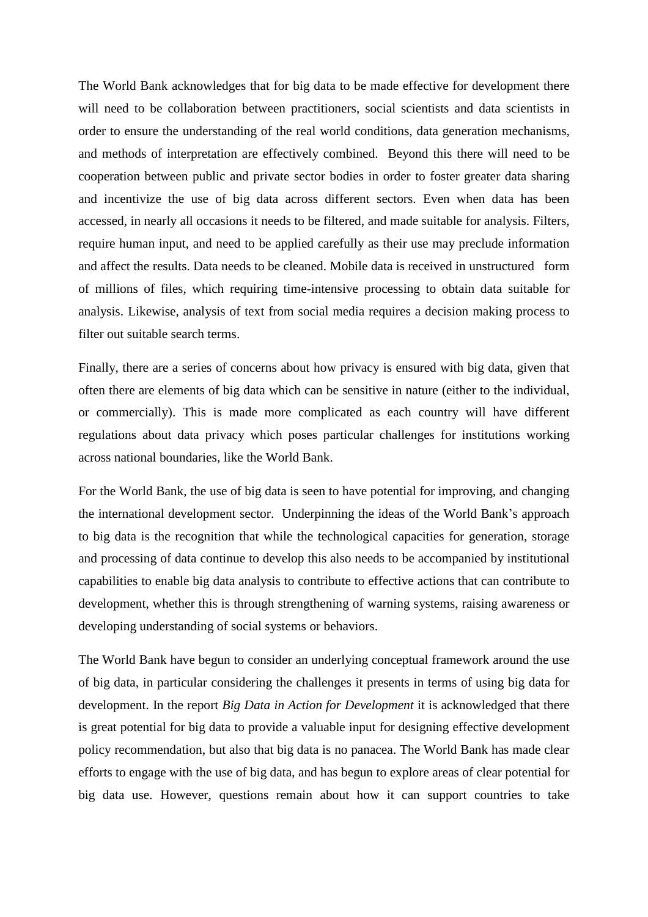The World Bank acknowledges that for big data to be made effective for development there will need to be collaboration between practitioners, social scientists and data scientists in order to ensure the understanding of the real world conditions, data generation mechanisms, and methods of interpretation are effectively combined. Beyond this there will need to be cooperation between public and private sector bodies in order to foster greater data sharing and incentivize the use of big data across different sectors. Even when data has been accessed, in nearly all occasions it needs to be filtered, and made suitable for analysis. Filters, require human input, and need to be applied carefully as their use may preclude information and affect the results. Data needs to be cleaned. Mobile data is received in unstructured form of millions of files, which requiring time-intensive processing to obtain data suitable for analysis. Likewise, analysis of text from social media requires a decision making process to filter out suitable search terms.

Finally, there are a series of concerns about how privacy is ensured with big data, given that often there are elements of big data which can be sensitive in nature (either to the individual, or commercially). This is made more complicated as each country will have different regulations about data privacy which poses particular challenges for institutions working across national boundaries, like the World Bank.

For the World Bank, the use of big data is seen to have potential for improving, and changing the international development sector. Underpinning the ideas of the World Bank's approach to big data is the recognition that while the technological capacities for generation, storage and processing of data continue to develop this also needs to be accompanied by institutional capabilities to enable big data analysis to contribute to effective actions that can contribute to development, whether this is through strengthening of warning systems, raising awareness or developing understanding of social systems or behaviors.

The World Bank have begun to consider an underlying conceptual framework around the use of big data, in particular considering the challenges it presents in terms of using big data for development. In the report *Big Data in Action for Development* it is acknowledged that there is great potential for big data to provide a valuable input for designing effective development policy recommendation, but also that big data is no panacea. The World Bank has made clear efforts to engage with the use of big data, and has begun to explore areas of clear potential for big data use. However, questions remain about how it can support countries to take